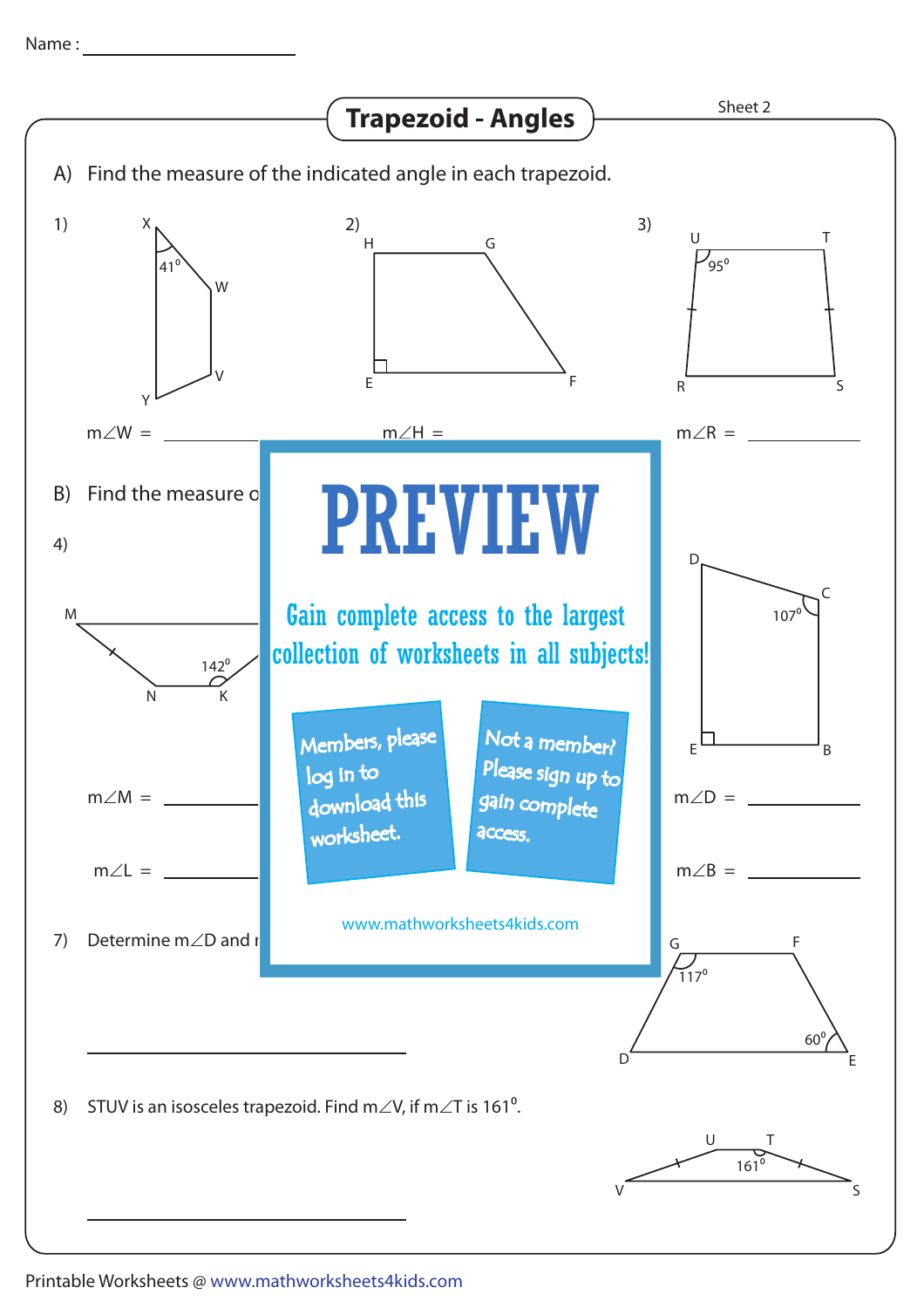